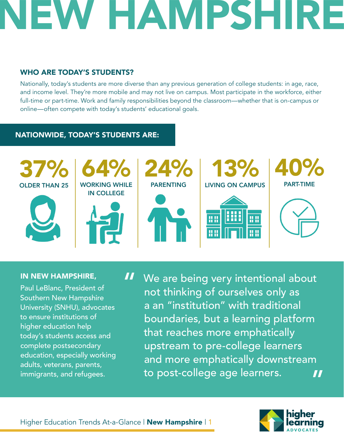## EW HAMPSHI

### WHO ARE TODAY'S STUDENTS?

Nationally, today's students are more diverse than any previous generation of college students: in age, race, and income level. They're more mobile and may not live on campus. Most participate in the workforce, either full-time or part-time. Work and family responsibilities beyond the classroom—whether that is on-campus or online—often compete with today's students' educational goals.

### NATIONWIDE, TODAY'S STUDENTS ARE:



#### IN NEW HAMPSHIRE,

Paul LeBlanc, President of Southern New Hampshire University (SNHU), advocates to ensure institutions of higher education help today's students access and complete postsecondary education, especially working adults, veterans, parents, immigrants, and refugees.

We are being very intentional about not thinking of ourselves only as a an "institution" with traditional boundaries, but a learning platform that reaches more emphatically upstream to pre-college learners and more emphatically downstream to post-college age learners. " "

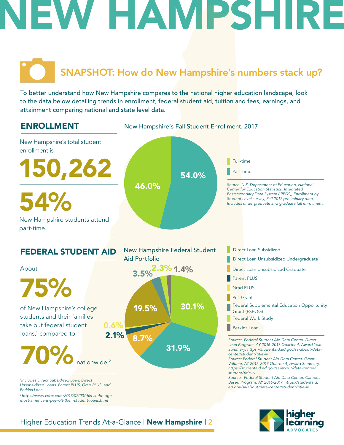## EW HAMPSH

### SNAPSHOT: How do New Hampshire's numbers stack up?

To better understand how New Hampshire compares to the national higher education landscape, look to the data below detailing trends in enrollment, federal student aid, tuition and fees, earnings, and attainment comparing national and state level data.



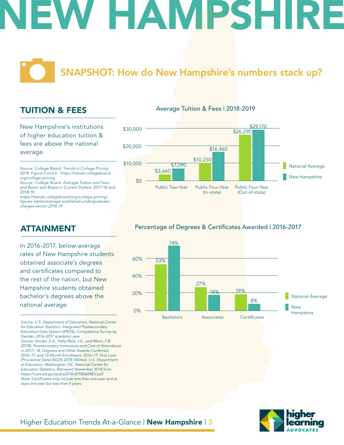## W HAMPSH

### SNAPSHOT: How do New Hampshire's numbers stack up?

### TUITION & FEES

New Hampshire's institutions of higher education tuition & fees are above the national average.

*Source: College Board. Trends in College Pricing 2018. Figure 5 and 6. https://trends.collegeboard. org/college-pricing*

*Source: College Board. Average Tuition and Fees and Room and Board in Current Dollars, 2017-18 and 2018-19.*

*https://trends.collegeboard.org/college-pricing/* figures-tables/average-published-undergraduate*charges-sector-2018-19*

### ATTAINMENT

In 2016-2017, below-average rates of New Hampshire students obtained associate's degrees and certificates compared to the rest of the nation, but New Hampshire students obtained bachelor's degrees above the national average.

*Source: U.S. Department of Education, National Center for Education Statistics. Integrated Postsecondary Education Data System (IPEDS), Completions Survey by Gender, 2016-2017 academic year. Source: Ginder, S.A., Kelly-Reid, J.E., and Mann, F.B. (2018). Postsecondary Institutions and Cost of Attendance in 2017– 18; Degrees and Other Awards Conferred, 2016–17; and 12-Month Enrollment, 2016–17: First Look (Provisional Data) (NCES 2018-060rev). U.S. Department of Education. Washington, DC: National Center for Education Statistics. Retrieved November 2018 from https://nces.ed.gov/pubs2018/2018060REV.pdf* Note: Certificates only include less than one year and at *least one year but less than 4 years.* 

#### Average Tuition & Fees | 2018-2019



### Percentage of Degrees & Certificates Awarded | 2016-2017



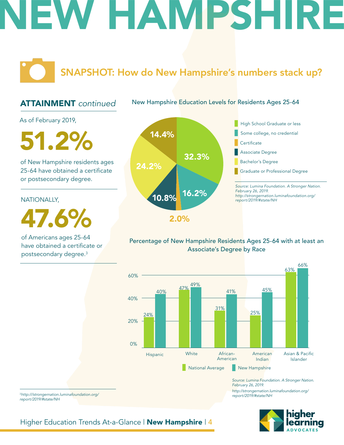## EW HAMPSHIRE

SNAPSHOT: How do New Hampshire's numbers stack up?

### ATTAINMENT *continued*

New Hampshire Education Levels for Residents Ages 25-64

As of February 2019,

**51.2%** 14.4%

of New Hampshire residents ages 25-64 have obtained a certificate or postsecondary degree.

NATIONALLY,

47.6%

of Americans ages 25-64 have obtained a certificate or postsecondary degree.3





### Percentage of New Hampshire Residents Ages 25-64 with at least an Associate's Degree by Race



*Source: Lumina Foundation. A Stronger Nation. February 26, 2019. http://strongernation.luminafoundation.org/ report/2019/#state/NH*



<sup>3</sup>*http:///strongernation.luminafoundation.org/ report/2019/#state/NH*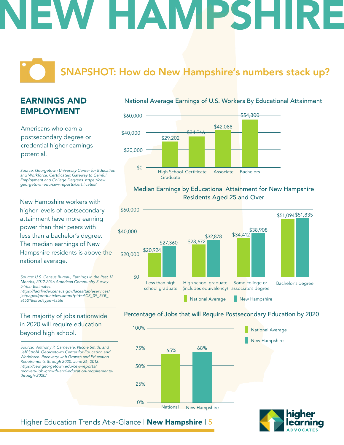# W HAMPSH

### SNAPSHOT: How do New Hampshire's numbers stack up?

### EARNINGS AND EMPLOYMENT

Americans who earn a postsecondary degree or credential higher earnings potential.

*Source: Georgetown University Center for Education*  and Workforce. Certificates: Gateway to Gainful *Employment and College Degrees. https://cew.* georgetown.edu/cew-reports/certificates/

New Hampshire workers with higher levels of postsecondary attainment have more earning power than their peers with less than a bachelor's degree. The median earnings of New Hampshire residents is above the national average.

*Source: U.S. Census Bureau, Earnings in the Past 12 Months, 2012-2016 American Community Survey 5-Year Estimates.* https://factfinder.census.gov/faces/tableservices/

*jsf/pages/productview.xhtml?pid=ACS\_09\_5YR\_ S1501&prodType=table*

### The majority of jobs nationwide in 2020 will require education beyond high school.

*Source: Anthony P. Carnevale, Nicole Smith, and Jeff Strohl. Georgetown Center for Education and Workforce. Recovery: Job Growth and Education Requirements through 2020. June 26, 2013. https://cew.georgetown.edu/cew-reports/ recovery-job-growth-and-education-requirementsthrough-2020/*

### National Average Earnings of U.S. Workers By Educational Attainment



### Median Earnings by Educational Attainment for New Hampshire Residents Aged 25 and Over



#### Percentage of Jobs that will Require Postsecondary Education by 2020